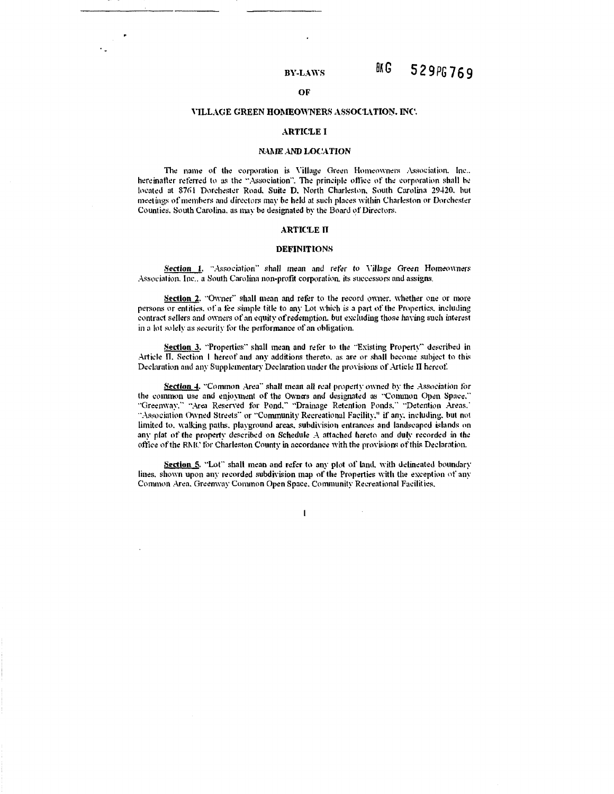# OF

#### VILLAGE GREEN HOMEOWNERS ASSOCIATION. INC.

#### **ARTICLE I**

#### **NAME AND LOCATION**

The name of the corporation is Village Green Homeowners Association, Inc., hereinafter referred to as the "Association". The principle office of the corporation shall be located at 8761 Dorchester Road, Suite D. North Charleston, South Carolina 29420, but meetings of members and directors may be held at such places within Charleston or Dorchester Counties. South Carolina, as may be designated by the Board of Directors.

#### **ARTICLE II**

#### **DEFINITIONS**

Section 1. "Association" shall mean and refer to Village Green Homeowners Association, Inc., a South Carolina non-profit corporation, its successors and assigns.

Section 2. "Owner" shall mean and refer to the record owner, whether one or more persons or entities, of a fee simple title to any Lot which is a part of the Properties, including contract sellers and owners of an equity of redemption, but excluding those having such interest in a lot solely as security for the performance of an obligation.

Section 3. "Properties" shall mean and refer to the "Existing Property" described in Article II, Section 1 hereof and any additions thereto, as are or shall become subject to this Declaration and any Supplementary Declaration under the provisions of Article II hereof.

Section 4. "Common Area" shall mean all real property owned by the Association for the common use and enjoyment of the Owners and designated as "Common Open Space." "Greenway," "Area Reserved for Pond," "Drainage Retention Ponds," "Detention Areas," "Association Owned Streets" or "Community Recreational Facility," if any, including, but not limited to, walking paths, playground areas, subdivision entrances and landscaped islands on any plat of the property described on Schedule A attached hereto and duly recorded in the office of the RMC for Charleston County in accordance with the provisions of this Declaration.

Section 5. "Lot" shall mean and refer to any plot of land, with defineated boundary lines, shown upon any recorded subdivision map of the Properties with the exception of any Common Area, Greenway Common Open Space, Community Recreational Facilities,

 $\mathbf{I}$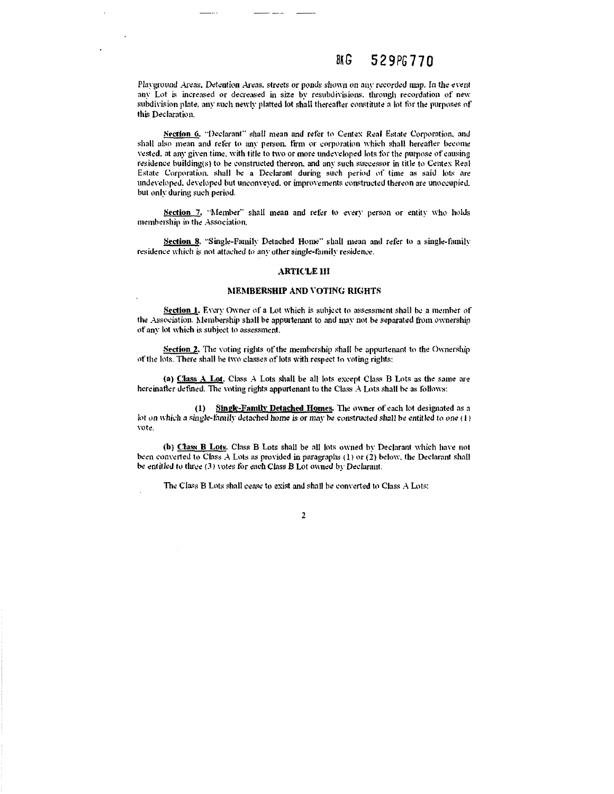#### BN G 529PG770

Playground Areas, Detention Areas, streets or ponds shown on any recorded map. In the event any Lot is increased or decreased in size by resubdivisions, through recordation of new subdivision plate, any such newly platted lot shall thereafter constitute a lot for the purposes of this Declaration.

Section 6. "Declarant" shall mean and refer to Centex Real Estate Corporation, and shall also mean and refer to any person, firm or corporation which shall hereafter become vested, at any given time, with title to two or more undeveloped lots for the purpose of causing residence building(s) to be constructed thereon, and any such successor in title to Centex Real Estate Corporation, shall be a Declarant during such period of time as said lots are undeveloped, developed but unconveyed, or improvements constructed thereon are unoccupied, but only during such period.

Section 7, "Member" shall mean and refer to every person or entity who holds membership in the Association.

Section 8. "Single-Family Detached Home" shall mean and refer to a single-family residence which is not attached to any other single-family residence.

## **ARTICLE III**

#### MEMBERSHIP AND VOTING RIGHTS

Section 1. Every Owner of a Lot which is subject to assessment shall be a member of the Association. Membership shall be appurtenant to and may not be separated from ownership of any lot which is subject to assessment.

Section 2. The voting rights of the membership shall be appurtenant to the Ownership of the lots. There shall be two classes of lots with respect to voting rights:

(a) Class A Lot. Class A Lots shall be all lots except Class B Lots as the same are hereinafter defined. The voting rights appurtenant to the Class A Lots shall be as follows:

(1) Single-Family Detached Homes. The owner of each lot designated as a lot on which a single-family detached home is or may be constructed shall be entitled to one (1) vote.

(b) Class B Lots. Class B Lots shall be all lots owned by Declarant which have not been converted to Class A Lots as provided in paragraphs (1) or (2) below, the Declarant shall be entitled to three (3) votes for each Class B Lot owned by Declarant.

The Class B Lots shall cease to exist and shall be converted to Class A Lots:

 $\overline{2}$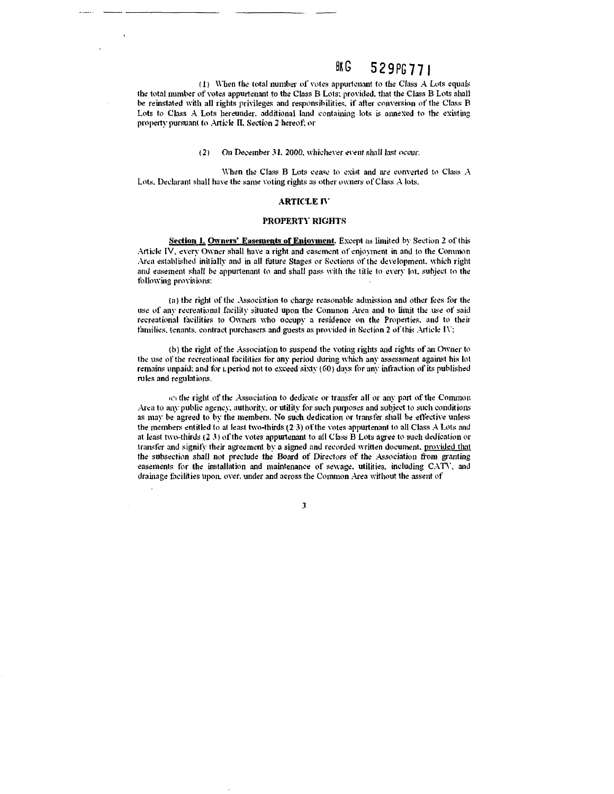#### BK<sub>G</sub> 529PG771

(1) When the total number of votes appurtenant to the Class A Lots equals the total number of votes appurtenant to the Class B Lots; provided, that the Class B Lots shall be reinstated with all rights privileges and responsibilities, if after conversion of the Class B Lots to Class A Lots hereunder, additional land containing lots is annexed to the existing property pursuant to Article II, Section 2 hereof; or

> $(2)$ On December 31, 2000, whichever event shall last occur.

When the Class B Lots cease to exist and are converted to Class A Lots, Declarant shall have the same voting rights as other owners of Class A lots.

#### **ARTICLE IV**

## PROPERTY RIGHTS

Section 1. Owners' Easements of Enjoyment. Except as limited by Section 2 of this Article IV, every Owner shall have a right and easement of enjoyment in and to the Common Area established initially and in all future Stages or Sections of the development, which right and easement shall be appurtenant to and shall pass with the title to every lot, subject to the following provisions:

(a) the right of the Association to charge reasonable admission and other fees for the use of any recreational facility situated upon the Common Area and to limit the use of said recreational facilities to Owners who occupy a residence on the Properties, and to their families, tenants, contract purchasers and guests as provided in Section 2 of this Article IV:

(b) the right of the Association to suspend the voting rights and rights of an Owner to the use of the recreational facilities for any period during which any assessment against his lot remains unpaid; and for *L* period not to exceed sixty (60) days for any infraction of its published rules and regulations.

co the right of the Association to dedicate or transfer all or any part of the Common Area to any public agency, authority, or utility for such purposes and subject to such conditions as may be agreed to by the members. No such dedication or transfer shall be effective unless the members entitled to at least two-thirds (2/3) of the votes appurtenant to all Class A Lots and at least two-thirds  $(2\ 3)$  of the votes appurtenant to all Class  $\overline{B}$  Lots agree to such dedication or transfer and signify their agreement by a signed and recorded written document, provided that the subsection shall not preclude the Board of Directors of the Association from granting easements for the installation and maintenance of sewage, utilities, including CATV, and drainage facilities upon, over, under and across the Common Area without the assent of

 $\overline{\mathbf{3}}$ 

 $\overline{a}$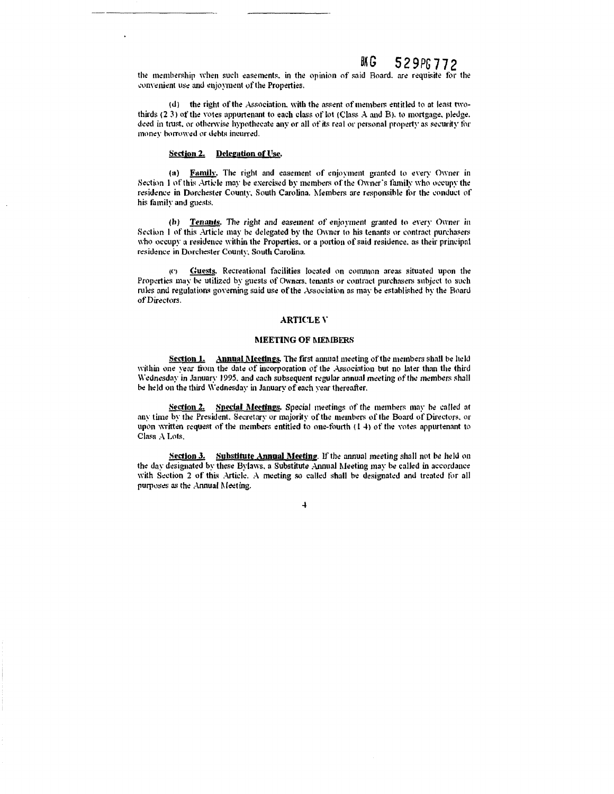the membership when such easements, in the opinion of said Board, are requisite for the convenient use and enjoyment of the Properties.

(d) the right of the Association, with the assent of members entitled to at least twothirds (2.3) of the votes appurtenant to each class of lot (Class A and B), to mortgage, pledge. deed in trust, or otherwise hypothecate any or all of its real or personal property as security for money borrowed or debts incurred.

#### Section 2. Delegation of Use.

(a) Family. The right and easement of enjoyment granted to every Owner in Section 1 of this Article may be exercised by members of the Owner's family who occupy the residence in Dorchester County, South Carolina. Members are responsible for the conduct of his family and guests.

(b) Tenants. The right and easement of enjoyment granted to every Owner in Section 1 of this Article may be delegated by the Owner to his tenants or contract purchasers who occupy a residence within the Properties, or a portion of said residence, as their principal residence in Dorchester County, South Carolina.

(c) Guests. Recreational facilities located on common areas situated upon the Properties may be utilized by guests of Owners, tenants or contract purchasers subject to such rules and regulations governing said use of the Association as may be established by the Board of Directors.

#### **ARTICLE V**

## **MEETING OF MEMBERS**

Section 1. Annual Meetings. The first annual meeting of the members shall be held within one year from the date of incorporation of the Association but no later than the third Wednesday in January 1995, and each subsequent regular annual meeting of the members shall be held on the third Wednesday in January of each year thereafter.

Section 2. Special Meetings. Special meetings of the members may be called at any time by the President. Secretary or majority of the members of the Board of Directors, or upon written request of the members entitled to one-fourth  $(1, 4)$  of the votes appurtenant to Class A Lots

Section 3. Substitute Annual Meeting. If the annual meeting shall not be held on the day designated by these Bylaws, a Substitute Annual Meeting may be called in accordance with Section 2 of this Article. A meeting so called shall be designated and treated for all purposes as the Annual Meeting.

 $\overline{4}$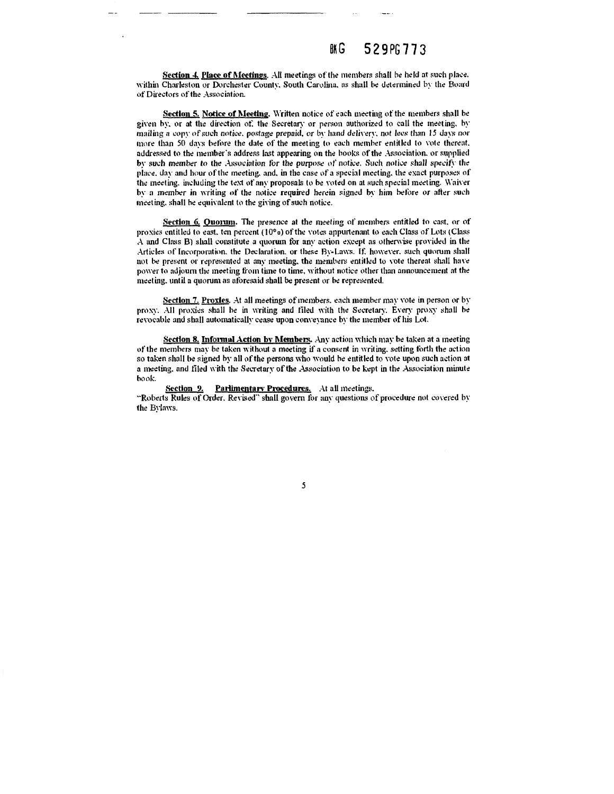Section 4. Place of Meetings. All meetings of the members shall be held at such place. within Charleston or Dorchester County, South Carolina, as shall be determined by the Board of Directors of the Association.

Section 5. Notice of Meeting, Written notice of each meeting of the members shall be given by, or at the direction of, the Secretary or person authorized to call the meeting, by mailing a copy of such notice, postage prepaid, or by hand delivery, not lees than 15 days nor more than 50 days before the date of the meeting to each member entitled to vote thereat. addressed to the member's address last appearing on the books of the Association, or supplied by such member to the Association for the purpose of notice. Such notice shall specify the place, day and hour of the meeting, and, in the case of a special meeting, the exact purposes of the meeting, including the text of any proposals to be voted on at such special meeting. Waiver by a member in writing of the notice required herein signed by him before or after such meeting, shall be equivalent to the giving of such notice.

Section 6. Ouorum. The presence at the meeting of members entitled to cast, or of proxies entitled to east, ten percent  $(10^{\circ} \text{e})$  of the votes appurtenant to each Class of Lots (Class A and Class B) shall constitute a quorum for any action except as otherwise provided in the Articles of Incorporation, the Declaration, or these By-Laws. If, however, such quorum shall not be present or represented at any meeting, the members entitled to yote thereat shall have power to adjourn the meeting from time to time, without notice other than announcement at the meeting, until a quorum as aforesaid shall be present or be represented.

Section 7, Proxies. At all meetings of members, each member may vote in person or by proxy. All proxies shall be in writing and filed with the Secretary. Every proxy shall be revocable and shall automatically cease upon conveyance by the member of his Lot.

Section 8. Informal Action by Members. Any action which may be taken at a meeting of the members may be taken without a meeting if a consent in writing, setting forth the action so taken shall be signed by all of the persons who would be entitled to vote upon such action at a meeting, and filed with the Secretary of the Association to be kept in the Association minute hook.

Section 9. **Parlimentary Procedures.** At all meetings. "Roberts Rules of Order, Revised" shall govern for any questions of procedure not covered by the Bylaws.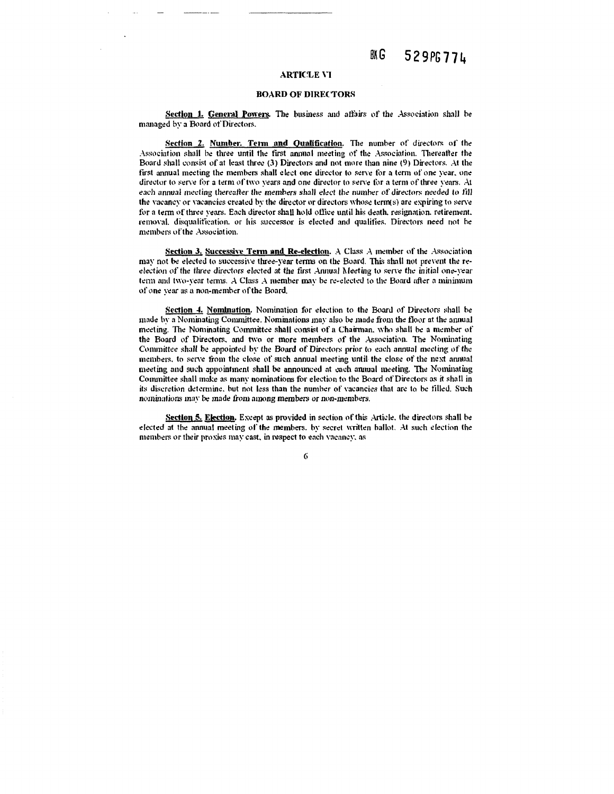#### BK G 529PG77L

## **ARTICLE VI**

#### **BOARD OF DIRECTORS**

Section 1. General Powers. The business and affairs of the Association shall be managed by a Board of Directors.

Section 2. Number. Term and Qualification. The number of directors of the Association shall be three until the first annual meeting of the Association. Thereafter the Board shall consist of at least three (3) Directors and not more than nine (9) Directors. At the first annual meeting the members shall elect one director to serve for a term of one vear, one director to serve for a term of two years and one director to serve for a term of three years. At each annual meeting thereafter the members shall elect the number of directors needed to fill the vacancy or vacancies created by the director or directors whose term(s) are expiring to serve for a term of three years. Each director shall hold office until his death, resignation, retirement, removal, disqualification, or his successor is elected and qualifies. Directors need not be members of the Association.

Section 3. Successive Term and Re-election.  $A$  Class  $A$  member of the Association may not be elected to successive three-year terms on the Board. This shall not prevent the reelection of the three directors elected at the first Annual Meeting to serve the initial one-year term and two-year terms. A Class A member may be re-elected to the Board after a minimum of one year as a non-member of the Board.

Section 4. Nomination. Nomination for election to the Board of Directors shall be made by a Nominating Committee. Nominations may also be made from the floor at the annual meeting. The Nominating Committee shall consist of a Chairman, who shall be a member of the Board of Directors, and two or more members of the Association. The Nominating Committee shall be appointed by the Board of Directors prior to each annual meeting of the members, to serve from the close of such annual meeting until the close of the next annual meeting and such appointment shall be announced at each annual meeting. The Nominating Committee shall make as many nominations for election to the Board of Directors as it shall in its discretion determine, but not less than the number of vacancies that are to be filled. Such nominations may be made from among members or non-members.

Section 5. Election. Except as provided in section of this Article, the directors shall be elected at the annual meeting of the members, by secret written ballot. At such election the members or their proxies may cast, in respect to each vacancy, as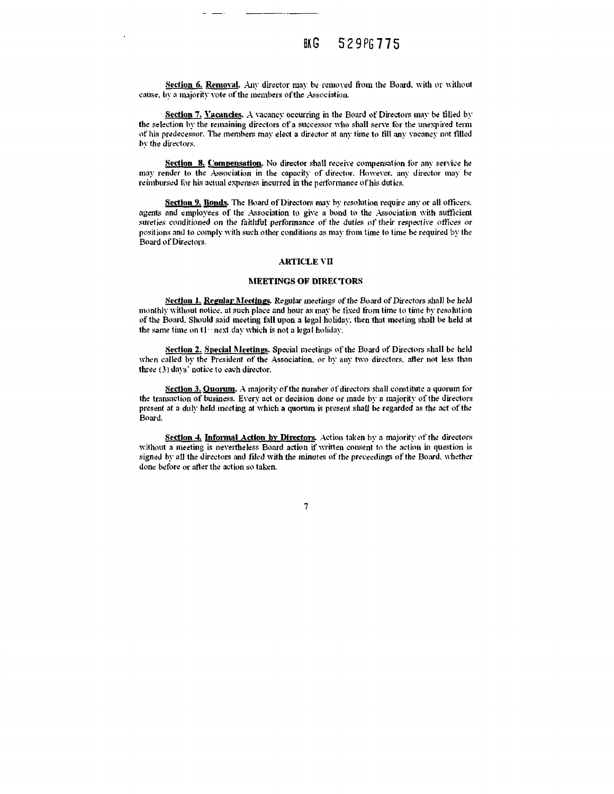Section 6. Removal. Any director may be removed from the Board, with or without cause, by a majority yote of the members of the Association.

Section 7, Vacancies. A vacancy occurring in the Board of Directors may be filled by the selection by the remaining directors of a successor who shall serve for the unexpired term of his predecessor. The members may elect a director at any time to fill any vacancy not filled by the directors.

Section 8. Compensation. No director shall receive compensation for any service he may render to the Association in the capacity of director. However, any director may be reimbursed for his actual expenses incurred in the performance of his duties.

Section 9. Bonds. The Board of Directors may by resolution require any or all officers. agents and employees of the Association to give a bond to the Association with sufficient sureties conditioned on the faithful performance of the duties of their respective offices or positions and to comply with such other conditions as may from time to time be required by the .<br>Board of Directors.

#### **ARTICLE VII**

#### **MEETINGS OF DIRECTORS**

Section 1. Regular Meetings. Regular meetings of the Board of Directors shall be held monthly without notice, at such place and hour as may be fixed from time to time by resolution of the Board. Should said meeting fall upon a legal holiday, then that meeting shall be held at the same time on t1 mext day which is not a legal holiday.

Section 2. Special Meetings. Special meetings of the Board of Directors shall be held when called by the President of the Association, or by any two directors, after not less than three (3) days' notice to each director.

Section 3. Quorum. A majority of the number of directors shall constitute a quorum for the transaction of business. Every act or decision done or made by a majority of the directors present at a duly held meeting at which a quorum is present shall be regarded as the act of the Board.

Section 4. Informal Action by Directors. Action taken by a majority of the directors without a meeting is nevertheless Board action if written consent to the action in question is signed by all the directors and filed with the minutes of the preceedings of the Board, whether done before or after the action so taken.

 $\overline{7}$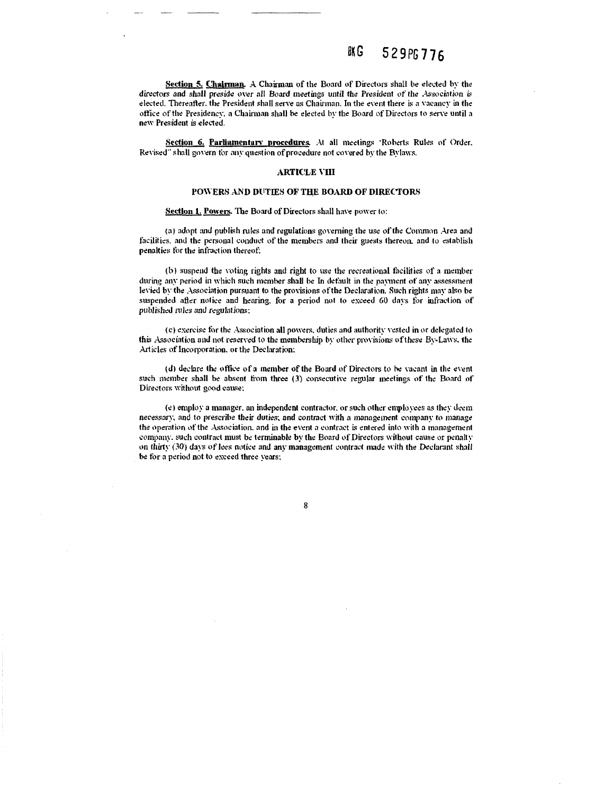Section 5. Chairman. A Chairman of the Board of Directors shall be elected by the directors and shall preside over all Board meetings until the President of the Association is elected. Thereafter, the President shall serve as Chairman. In the event there is a vacancy in the office of the Presidency, a Chairman shall be elected by the Board of Directors to serve until a new President is elected.

Section 6. Parliamentary procedures. At all meetings 'Roberts Rules of Order. Revised" shall govern for any question of procedure not covered by the Bylaws.

## **ARTICLE VIII**

## POWERS AND DUTIES OF THE BOARD OF DIRECTORS

#### Section 1. Powers. The Board of Directors shall have power to:

(a) adopt and publish rules and regulations governing the use of the Common Area and facilities, and the personal conduct of the members and their guests thereon, and to establish penalties for the infraction thereof;

(b) suspend the voting rights and right to use the recreational facilities of a member during any period in which such member shall be In default in the payment of any assessment levied by the Association pursuant to the provisions of the Declaration. Such rights may also be suspended after notice and hearing, for a period not to exceed 60 days for infraction of published rules and regulations:

(c) exercise for the Association all powers, duties and authority vested in or delegated to this Association and not reserved to the membership by other provisions of these By-Laws, the Articles of Incorporation, or the Declaration:

(d) declare the office of a member of the Board of Directors to be vacant in the event such member shall be absent from three (3) consecutive regular meetings of the Board of Directors without good cause;

(e) employ a manager, an independent contractor, or such other employees as they deem necessary, and to prescribe their duties, and contract with a management company to manage the operation of the Association, and in the event a contract is entered into with a management company, such contract must be terminable by the Board of Directors without cause or penalty on thirty (30) days of lees notice and any management contract made with the Declarant shall be for a period not to exceed three years;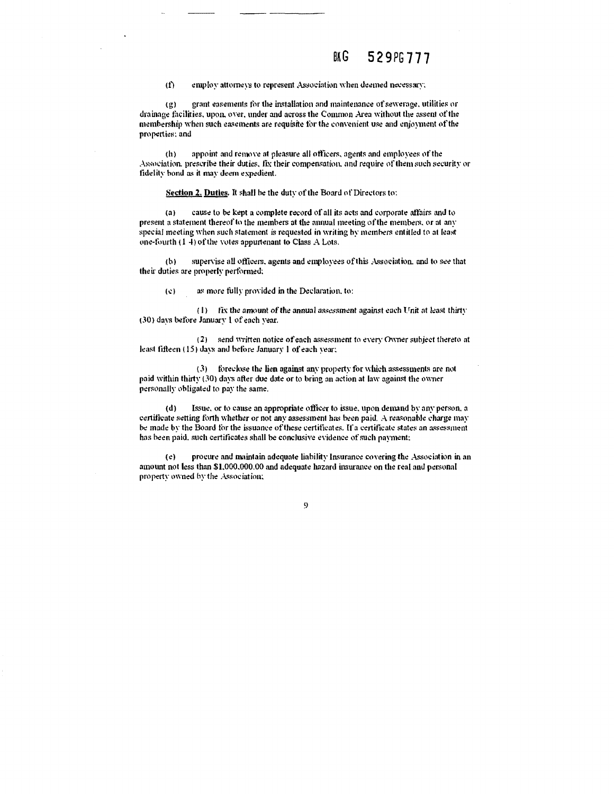employ attorneys to represent Association when deemed necessary;  $(f)$ 

grant easements for the installation and maintenance of sewerage, utilities or  $(2)$ drainage facilities, upon, over, under and across the Common Area without the assent of the membership when such easements are requisite for the convenient use and enjoyment of the properties; and

appoint and remove at pleasure all officers, agents and employees of the th). Association, prescribe their duties, fix their compensation, and require of them such security or fidelity bond as it may deem expedient.

Section 2. Duties. It shall be the duty of the Board of Directors to:

cause to be kept a complete record of all its acts and corporate affairs and to  $(a)$ present a statement thereof to the members at the annual meeting of the members, or at any special meeting when such statement is requested in writing by members entitled to at least one-fourth (14) of the votes appurtenant to Class A Lots.

supervise all officers, agents and employees of this Association, and to see that  $(b)$ their duties are properly performed:

as more fully provided in the Declaration, to:  $\left( c\right)$ 

(1) fix the amount of the annual assessment against each Unit at least thirty (30) days before January 1 of each year.

(2) send written notice of each assessment to every Owner subject thereto at least fifteen (15) days and before January 1 of each year;

(3) foreclose the lien against any property for which assessments are not paid within thirty (30) days after due date or to bring an action at law against the owner personally obligated to pay the same.

Issue, or to cause an appropriate officer to issue, upon demand by any person, a  $(d)$ certificate setting forth whether or not any assessment has been paid. A reasonable charge may be made by the Board for the issuance of these certificates. If a certificate states an assessment has been paid, such certificates shall be conclusive evidence of such payment;

procure and maintain adequate liability Insurance covering the Association in an  $(e)$ amount not less than \$1,000,000.00 and adequate hazard insurance on the real and personal property owned by the Association;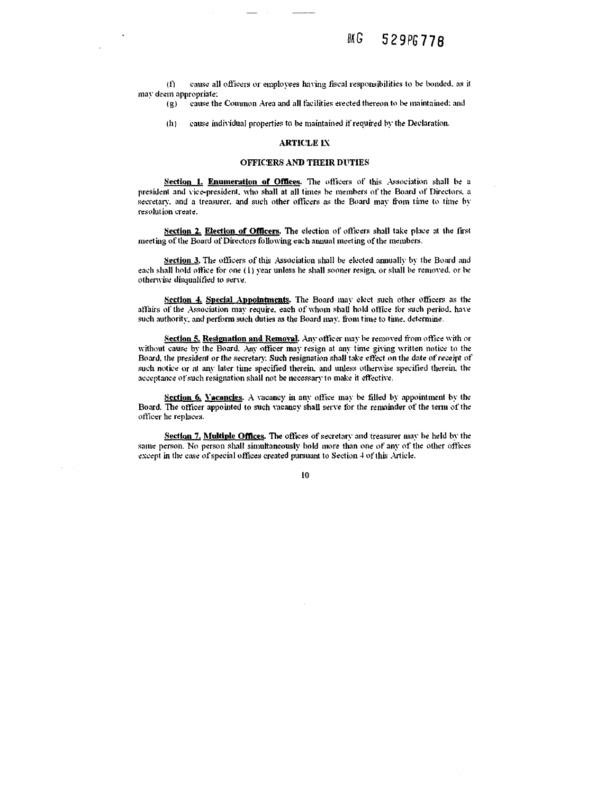$(f)$ cause all officers or employees having fiscal responsibilities to be bonded, as it may deem appropriate;

cause the Common Area and all facilities erected thereon to be maintained; and  $(g)$ 

 $(h)$ cause individual properties to be maintained if required by the Declaration.

## **ARTICLE IX**

## **OFFICERS AND THEIR DUTIES**

Section 1. Enumeration of Offices. The officers of this Association shall be a president and vice-president, who shall at all times be members of the Board of Directors, a secretary, and a treasurer, and such other officers as the Board may from time to time by resolution create.

Section 2. Election of Officers. The election of officers shall take place at the first meeting of the Board of Directors following each annual meeting of the members.

Section 3. The officers of this Association shall be elected annually by the Board and each shall hold office for one (1) year unless he shall sooner resign, or shall be removed, or be otherwise disqualified to serve.

Section 4. Special Appointments. The Board may elect such other officers as the affairs of the Association may require, each of whom shall hold office for such period, have such authority, and perform such duties as the Board may, from time to time, determine.

Section 5. Resignation and Removal. Any officer may be removed from office with or without cause by the Board. Any officer may resign at any time giving written notice to the Board, the president or the secretary. Such resignation shall take effect on the date of receipt of such notice or at any later time specified therein, and unless otherwise specified therein, the acceptance of such resignation shall not be necessary to make it effective.

Section 6. Vacancies. A vacancy in any office may be filled by appointment by the Board. The officer appointed to such vacancy shall serve for the remainder of the term of the officer he replaces.

Section 7. Multiple Offices. The offices of secretary and treasurer may be held by the same person. No person shall simultaneously hold more than one of any of the other offices except in the case of special offices created pursuant to Section 4 of this Article.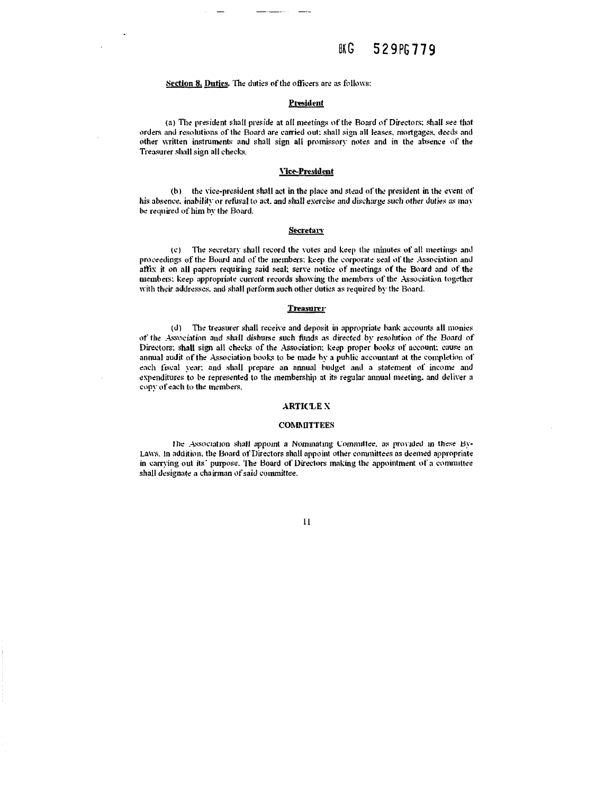## Section 8. Duties. The duties of the officers are as follows:

#### President

(a) The president shall preside at all meetings of the Board of Directors; shall see that orders and resolutions of the Board are carried out; shall sign all leases, mortgages, deeds and other written instruments and shall sign all promissory notes and in the absence of the Treasurer shall sign all checks.

#### **Vice-President**

(b) the vice-president shall act in the place and stead of the president in the event of his absence, inability or refusal to act, and shall exercise and discharge such other duties as may be required of him by the Board.

#### **Secretary**

(c) The secretary shall record the votes and keep the minutes of all meetings and proceedings of the Board and of the members; keep the corporate seal of the Association and affix it on all papers requiring said seal; serve notice of meetings of the Board and of the members; keep appropriate current records showing the members of the Association together with their addresses, and shall perform such other duties as required by the Board.

#### **Treasurer**

(d) The treasurer shall receive and deposit in appropriate bank accounts all monies of the Association and shall disburse such funds as directed by resolution of the Board of Directors: shall sign all checks of the Association; keep proper books of account; cause an annual audit of the Association books to be made by a public accountant at the completion of each fiscal year; and shall prepare an annual budget and a statement of income and expenditures to be represented to the membership at its regular annual meeting, and deliver a copy of each to the members.

#### **ARTICLE X**

#### **COMMITTEES**

The Association shall appoint a Nominating Committee, as provided in these By-Laws. In addition, the Board of Directors shall appoint other committees as deemed appropriate in carrying out its' purpose. The Board of Directors making the appointment of a committee shall designate a chairman of said committee.

#### $\mathbf{11}$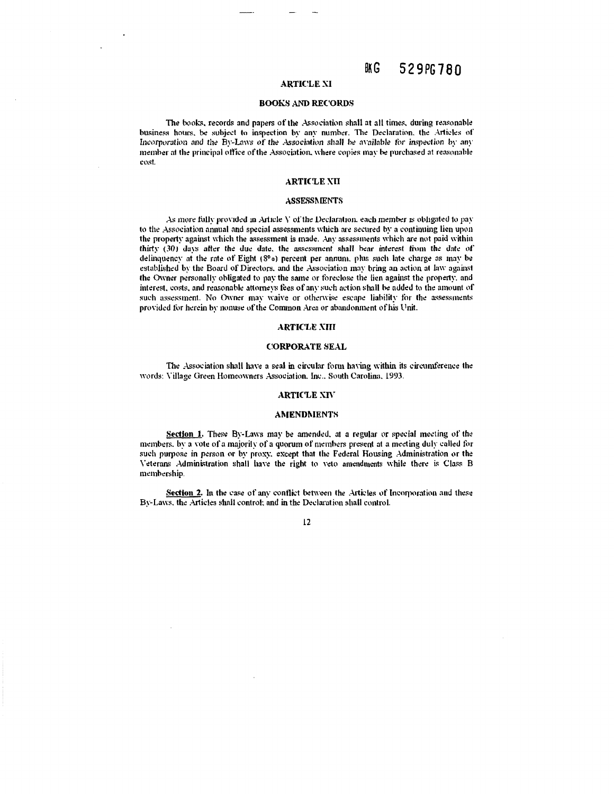## **ARTICLE XI**

#### **BOOKS AND RECORDS**

The books, records and papers of the Association shall at all times, during reasonable business hours, be subject to inspection by any number. The Declaration, the Articles of Incorporation and the By-Laws of the Association shall be available for inspection by any member at the principal office of the Association, where copies may be purchased at reasonable cost.

## **ARTICLE NII**

#### **ASSESSMENTS**

As more fully provided in Article  $V$  of the Declaration, each member is obligated to pay to the Association annual and special assessments which are secured by a continuing lien upon the property against which the assessment is made. Any assessments which are not paid within thirty (30) days after the due date, the assessment shall bear interest from the date of delinquency at the rate of Eight (8%) percent per annum, plus such late charge as may be established by the Board of Directors, and the Association may bring an action at law against the Owner personally obligated to pay the same or foreclose the lien against the property, and interest, costs, and reasonable attorneys fees of any such action shall be added to the amount of such assessment. No Owner may waive or otherwise escape liability for the assessments provided for herein by nonuse of the Common Area or abandonment of his Unit.

#### **ARTICLE XIII**

#### **CORPORATE SEAL**

The Association shall have a seal in circular form having within its circumference the words: Village Green Homeowners Association, Inc., South Carolina, 1993.

#### **ARTICLE XIV**

#### **AMENDMENTS**

Section 1. These By-Laws may be amended, at a regular or special meeting of the members, by a vote of a majority of a quorum of members present at a meeting duly called for such purpose in person or by proxy, except that the Federal Housing Administration or the Veterans Administration shall have the right to veto amendments while there is Class B membership.

Section 2. In the case of any conflict between the Articles of Incorporation and these By-Laws, the Articles shall control; and in the Declaration shall control.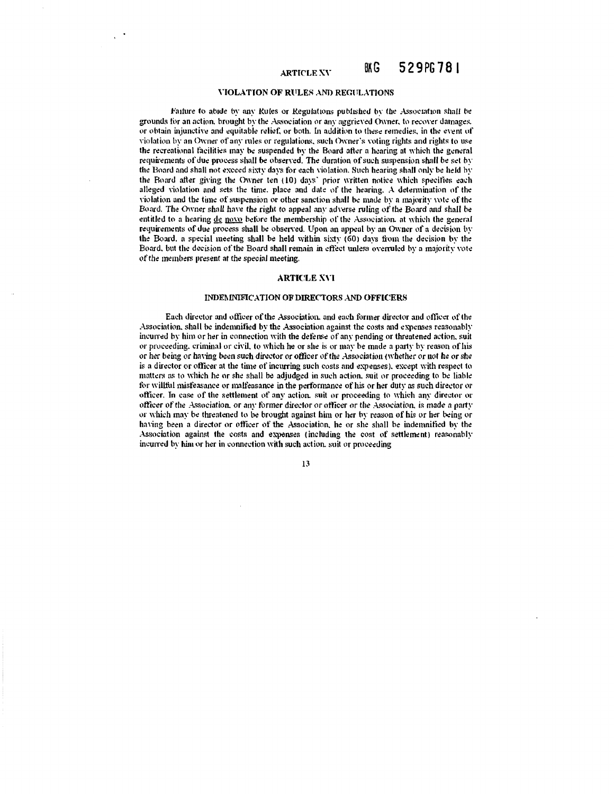#### 529PG781 BK G **ARTICLE XV**

## VIOLATION OF RULES AND REGULATIONS

Failure to abide by any Rules or Regulations published by the Association shall be grounds for an action, brought by the Association or any aggrieved Owner, to recover damages. or obtain injunctive and equitable relief, or both. In addition to these remedies, in the event of violation by an Owner of any rules or regulations, such Owner's voting rights and rights to use the recreational facilities may be suspended by the Board after a hearing at which the general requirements of due process shall be observed. The duration of such suspension shall be set by the Board and shall not exceed sixty days for each violation. Such hearing shall only be held by the Board after giving the Owner ten (10) days' prior written notice which specifies each alleged violation and sets the time, place and date of the hearing. A determination of the violation and the time of suspension or other sanction shall be made by a majority vote of the Board. The Owner shall have the right to appeal any adverse ruling of the Board and shall be entitled to a hearing de novo before the membership of the Association, at which the general requirements of due process shall be observed. Upon an appeal by an Owner of a decision by the Board, a special meeting shall be held within sixty (60) days from the decision by the Board, but the decision of the Board shall remain in effect unless overruled by a majority vote of the members present at the special meeting.

#### **ARTICLE XVI**

# **INDEMNIFICATION OF DIRECTORS AND OFFICERS**

Each director and officer of the Association, and each former director and officer of the Association, shall be indemnified by the Association against the costs and expenses reasonably incurred by him or her in connection with the defense of any pending or threatened action, suit or proceeding, criminal or civil, to which he or she is or may be made a party by reason of his or her being or having been such director or officer of the Association (whether or not he or she is a director or officer at the time of incurring such costs and expenses), except with respect to matters as to which he or she shall be adjudged in such action, suit or proceeding to be liable for willful misfeasance or malfeasance in the performance of his or her duty as such director or officer. In case of the settlement of any action, suit or proceeding to which any director or officer of the Association, or any former director or officer or the Association, is made a party or which may be threatened to be brought against him or her by reason of his or her being or having been a director or officer of the Association, he or she shall be indemnified by the Association against the costs and expenses (including the cost of settlement) reasonably incurred by him or her in connection with such action, suit or proceeding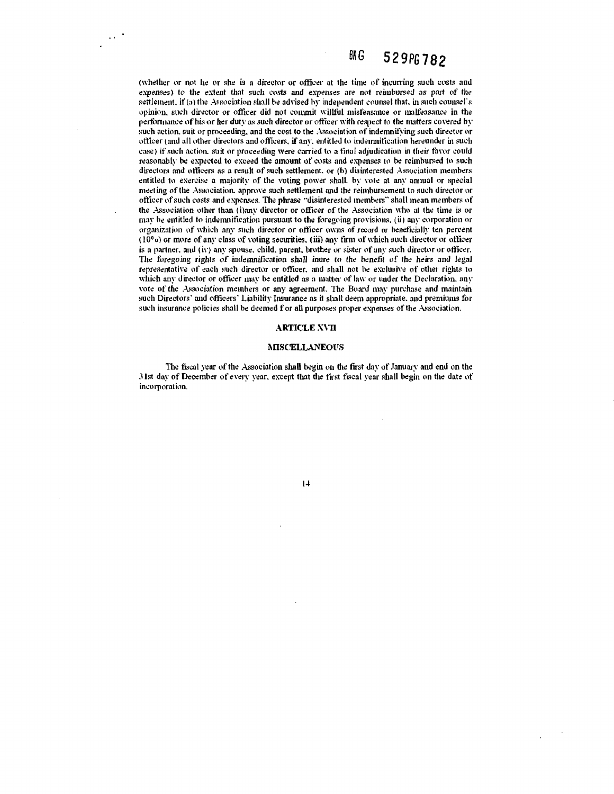(whether or not he or she is a director or officer at the time of incurring such costs and expenses) to the extent that such costs and expenses are not reimbursed as part of the settlement, if (a) the Association shall be advised by independent counsel that, in such counsel's opinion, such director or officer did not commit willful misfeasance or malfeasance in the performance of his or her duty as such director or officer with respect to the matters covered by such action, suit or proceeding, and the cost to the Association of indemnifying such director or officer (and all other directors and officers, if any, entitled to indemnification hereunder in such case) if such action, suit or proceeding were carried to a final adjudication in their favor could reasonably be expected to exceed the amount of costs and expenses to be reimbursed to such directors and officers as a result of such settlement, or (b) disinterested Association members entitled to exercise a majority of the voting power shall, by vote at any annual or special meeting of the Association, approve such settlement and the reimbursement to such director or officer of such costs and expenses. The phrase "disinterested members" shall mean members of the Association other than (i)any director or officer of the Association who at the time is or may be entitled to indemnification pursuant to the foregoing provisions, (ii) any corporation or organization of which any such director or officer owns of record or beneficially ten percent  $(10<sup>0</sup>)$  or more of any class of voting securities, (iii) any firm of which such director or officer is a partner, and (iv) any spouse, child, parent, brother or sister of any such director or officer. The foregoing rights of indemnification shall inure to the benefit of the heirs and legal representative of each such director or officer, and shall not be exclusive of other rights to which any director or officer may be entitled as a matter of law or under the Declaration, any vote of the Association members or any agreement. The Board may purchase and maintain such Directors' and officers' Liability Insurance as it shall deem appropriate, and premiums for such insurance policies shall be deemed f or all purposes proper expenses of the Association.

 $\sim 10^{-1}$ 

#### **ARTICLE XVII**

#### **MISCELLANEOUS**

The fiscal year of the Association shall begin on the first day of January and end on the 31st day of December of every year, except that the first fiscal year shall begin on the date of incorporation.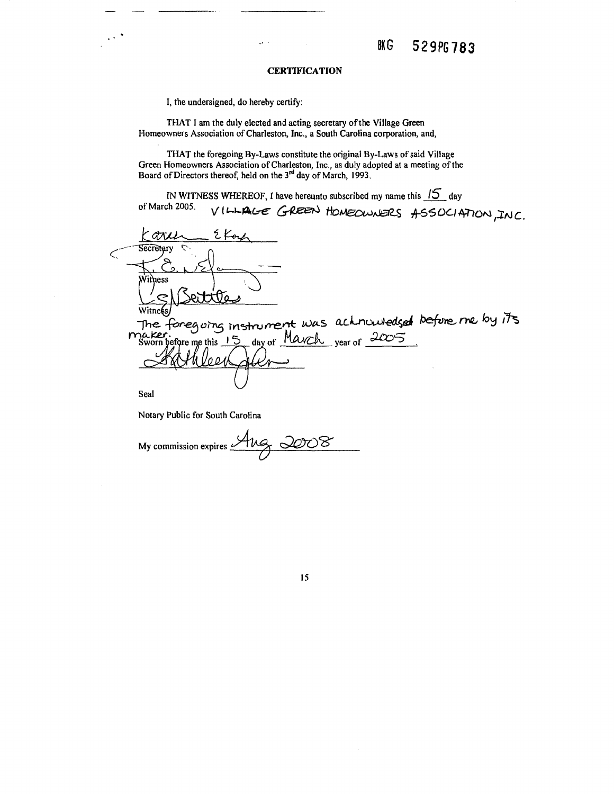#### **CERTIFICATION**

I, the undersigned, do hereby certify:

 $\ddot{\phantom{0}}$ 

THAT I am the duly elected and acting secretary of the Village Green Homeowners Association of Charleston, Inc., a South Carolina corporation, and,

THAT the foregoing By-Laws constitute the original By-Laws of said Village Green Homeowners Association of Charleston, Inc., as duly adopted at a meeting of the Board of Directors thereof, held on the  $3<sup>rd</sup>$  day of March, 1993.

IN WITNESS WHEREOF, I have hereunto subscribed my name this  $15$  day VILLAGE GREEN HOMEOWNERS ASSOCIATION, INC. of March 2005.

٤ K GTILL لمعا Secretary Withess tia witne §s The foregoing instrument was achnowledged before me by its<br>naker.<br>Sworn before me this 15 day of <u>Mavch year of 2005</u>

Seal

Notary Public for South Carolina

My commission expires

15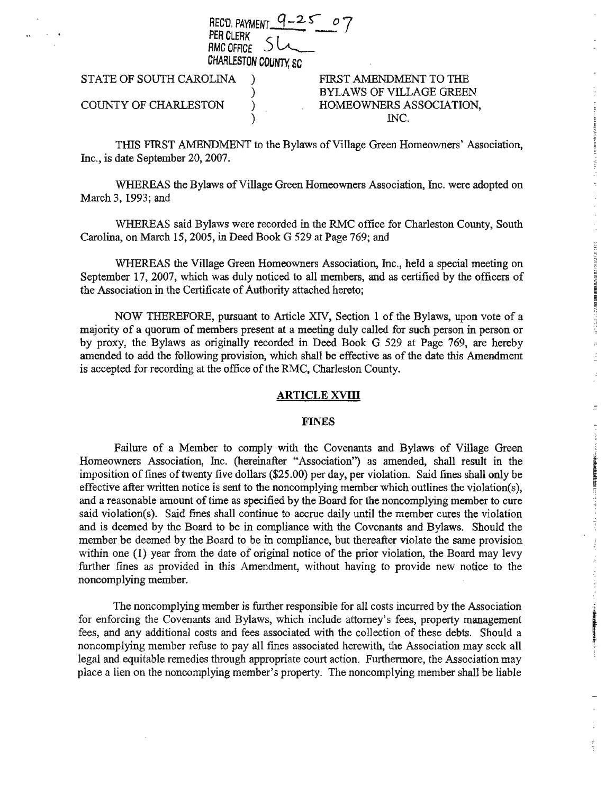REC'D. PAYMENT PER CLERK<br>RMC OFFICE RMCOFACE ~ CHARLESTON COUrm, SC

) ) )

STATE OF SOUTH CAROLINA )

# COUNTY OF CHARLESTON

# FIRST AMENDMENT TO THE BYLAWS OF VILLAGE GREEN HOMEOWNERS ASSOCIATION, INC.

THIS FIRST AMENDMENT to the Bylaws of Village Green Homeowners' Association, Inc., is date September 20, 2007.

WHEREAS the Bylaws of Village Green Homeowners Association, Inc. were adopted on March 3, 1993; and

WHEREAS said Bylaws were recorded in the RMC office for Charleston County, South Carolina, on March 15, 2005, in Deed Book G 529 at Page 769; and

WHEREAS the Village Green Homeowners Association, Inc., held a special meeting on September 17, 2007, which was duly noticed to all members, and as certified by the officers of the Association in the Certificate of Authority attached hereto;

NOW THEREFORE, pursuant to Article XIV, Section 1 of the Bylaws, upon vote of a majority of a quorum of members present at a meeting duly called for such person in person or by proxy, the Bylaws as originally recorded in Deed Book G 529 at Page 769, are hereby amended to add the following provision, which shall be effective as of the date this Amendment is accepted for recording at the office of the RMC, Charleston County.

# **ARTICLE XVIII**

# FINES

Failure of a Member to comply with the Covenants and Bylaws of Village Green Homeowners Association, Inc. (hereinafter "Association") as amended, shall result in the imposition of fines of twenty five dollars (\$25.00) per day, per violation. Said fines shall only be effective after written notice is sent to the noncomplying member which outlines the violation(s), and a reasonable amount of time as specified by the Board for the noncomplying member to cure said violation(s). Said fines shall continue to accrue daily until the member cures the violation and is deemed by the Board to be in compliance with the Covenants and Bylaws. Should the member be deemed by the Board to be in compliance, but thereafter violate the same provision within one (1) year from the date of original notice of the prior violation, the Board may levy further fines as provided in this Amendment, without having to provide new notice to the noncomplying member.

The noncomplying member is further responsible for all costs incurred by the Association for enforcing the Covenants and Bylaws, which include attorney's fees, property management fees, and any additional costs and fees associated with the collection of these debts. Should a noncomplying member refuse to pay all fmes associated herewith, the Association may seek all legal and equitable remedies through appropriate court action. Furthermore, the Association may place a lien on the noncomplying member's property. The noncomplying member shall be liable

the community of the first of the community of the community of the community of the community of the community of the community of the community of the community of the community of the community of the community of the c

hand and are a strained by a strain

1971年1月1日の第1回の開催の開催を開催する。<br>1982年1月13日

 $\overline{1}$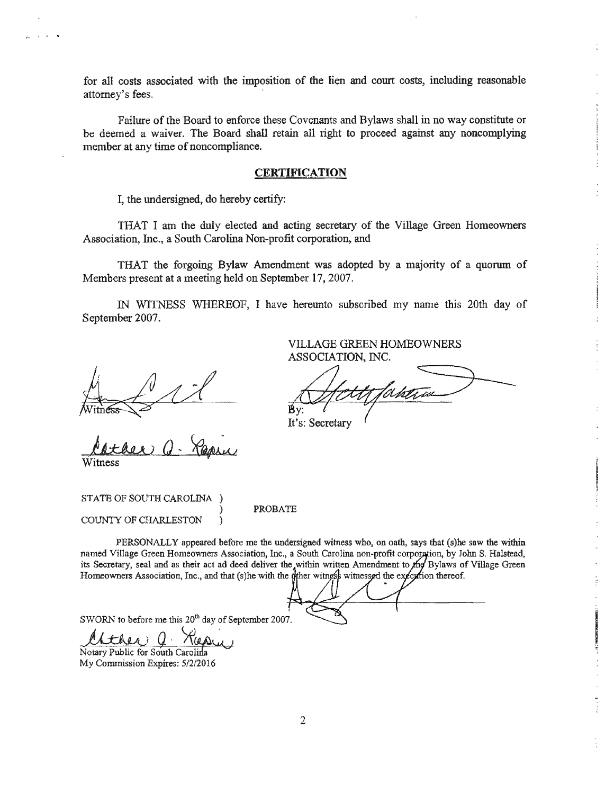for all costs associated with the imposition of the lien and court costs, including reasonable attorney's fees.

Failure of the Board to enforce these Covenants and Bylaws shall in no way constitute or be deemed a waiver. The Board shall retain all right to proceed against any noncomplying member at any time of noncompliance.

# **CERTIFICATION**

I, the undersigned, do hereby certify:

THAT I am the duly elected and acting secretary of the Village Green Homeowners Association, Inc., a South Carolina Non-profit corporation, and

THAT the forgoing Bylaw Amendment was adopted by a majority of a quorum of Members present at a meeting held on September 17, 2007.

IN WITNESS WHEREOF, I have hereunto subscribed my name this 20th day of September 2007.

September 2007.<br>
VILLAGE GE<br>
ASSOCIATIC<br>
Witness<br>
Witness<br>
A<br>
It's: Secretary

Cather Q- Reprus

VILLAGE GREEN HOMEOWNERS ASSOCIATION, INC.

Manguna

STATE OF SOUTH CAROLINA ) COUNTY OF CHARLESTON )

PROBATE

PERSONALLY appeared before me the undersigned witness who, on oath, says that (s) he saw the within named Village Green Homeowners Association, Inc., a South Carolina non-profit corporation, by John S. Halstead, its Secretary, seal and as their act ad deed deliver the within written Amendment to the Bylaws of Village Green Homeowners Association, Inc., and that (s)he with the dther witness witness get the execution thereof.

SWORN to before me this  $20^{th}$  day of September 2007.

<u>14 Like O Repu</u>

My Commission Expires: 5/2/2016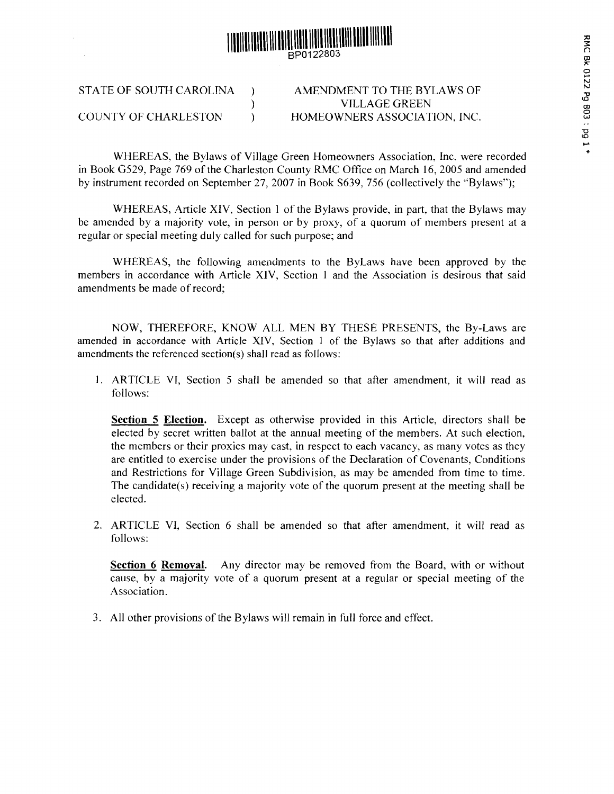

STATE OF SOUTH CAROLINA ) COUNTY OF CHARLESTON  $\qquad$ )

AMENDMENT TO THE BYLAWS OF VILLAGE GREEN HOMEOWNERS ASSOCIATION, INC.

WHEREAS, the Bylaws of Village Green Homeowners Association, Inc. were recorded in Book G529, Page 769 of the Charleston County RMC Office on March 16, 2005 and amended by instrument recorded on September 27, 2007 in Book S639, 756 (collectively the "Bylaws");

)

WHEREAS, Article XIV, Section I of the Bylaws provide, in part, that the Bylaws may be amended by a majority vote, in person or by proxy, of a quorum of members present at a regular or special meeting duly called for such purpose; and

WHEREAS, the following amendments to the ByLaws have been approved by the members in accordance with Article XIV, Section 1 and the Association is desirous that said amendments be made of record;

NOW, THEREFORE, KNOW ALL MEN BY THESE PRESENTS, the By-Laws are amended in accordance with Article XIV, Section 1 of the Bylaws so that after additions and amendments the referenced section(s) shall read as follows:

I. ARTICLE VI, Section 5 shall be amended so that after amendment, it will read as follows:

**Section 5 Election.** Except as otherwise provided in this Article, directors shall be elected by secret written ballot at the annual meeting of the members. At such election, the members or their proxies may cast, in respect to each vacancy, as many votes as they are entitled to exercise under the provisions of the Declaration of Covenants, Conditions and Restrictions for Village Green Subdivision, as may be amended from time to time. The candidate(s) receiving a majority vote of the quorum present at the meeting shall be elected.

2. ARTICLE VI, Section 6 shall be amended so that after amendment, it will read as follows:

**Section 6 Removal.** Any director may be removed from the Board, with or without cause, by a majority vote of a quorum present at a regular or special meeting of the Association.

3. All other provisions of the Bylaws will remain in full force and effect.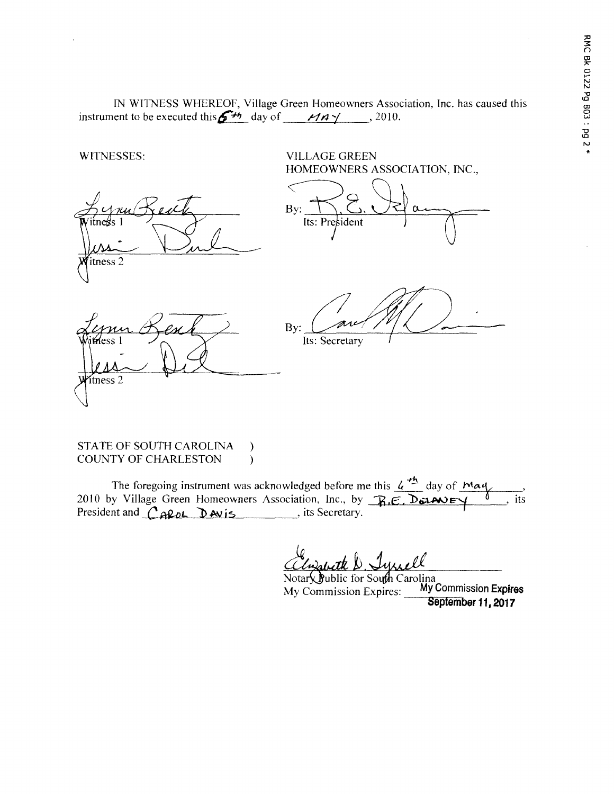IN WITNESS WHEREOF, Village Green Homeowners Association, Inc. has caused this instrument to be executed this  $\mathbf{G}^{H_1}$  day of  $M_A \gamma$ , 2010.



#### STATE OF SOUTH CAROLINA  $\mathcal{E}$ **COUNTY OF CHARLESTON**  $\lambda$

The foregoing instrument was acknowledged before me this  $4^{+6}$  day of May 2010 by Village Green Homeowners Association, Inc., by R.E. DELANEY , its

Notary Public for South Carolina My Commission Expires My Commission Expires: September 11, 2017